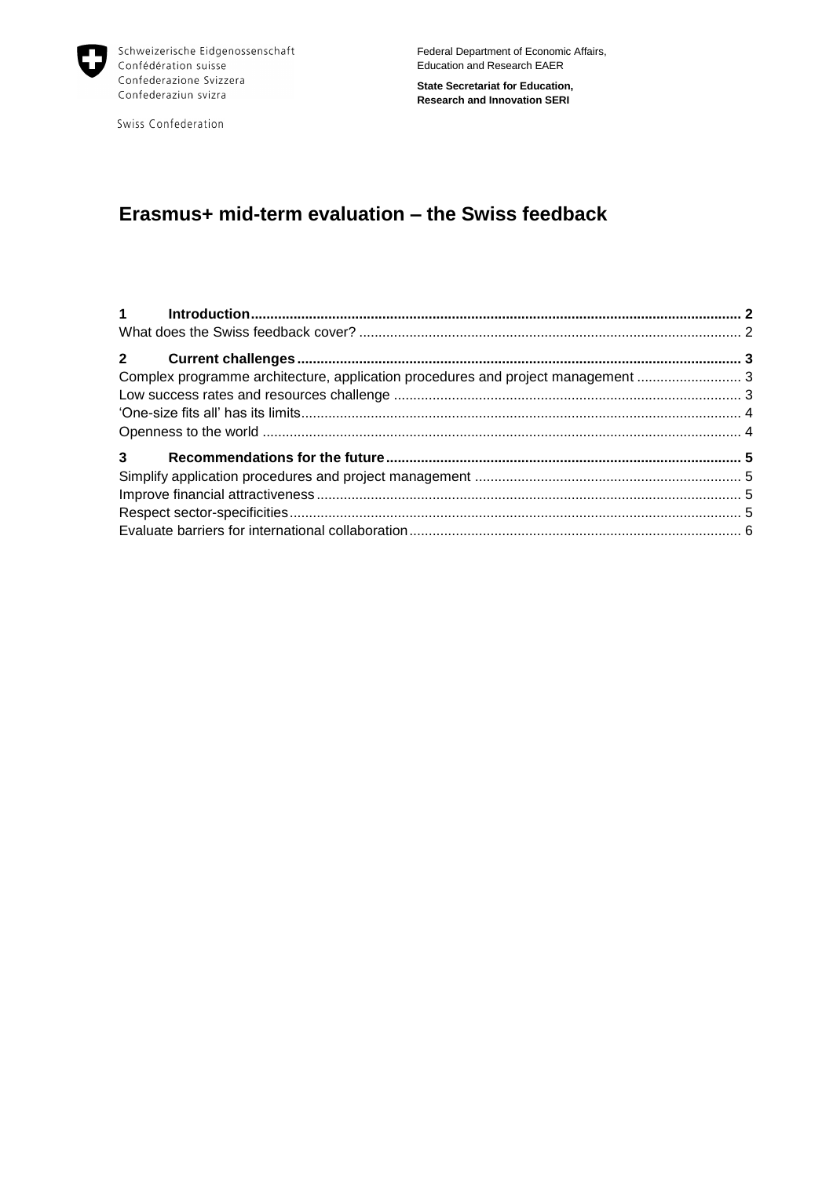

Swiss Confederation

Federal Department of Economic Affairs, Education and Research EAER

**State Secretariat for Education, Research and Innovation SERI**

# **Erasmus+ mid-term evaluation – the Swiss feedback**

| Complex programme architecture, application procedures and project management  3 |  |
|----------------------------------------------------------------------------------|--|
|                                                                                  |  |
|                                                                                  |  |
|                                                                                  |  |
|                                                                                  |  |
|                                                                                  |  |
|                                                                                  |  |
|                                                                                  |  |
|                                                                                  |  |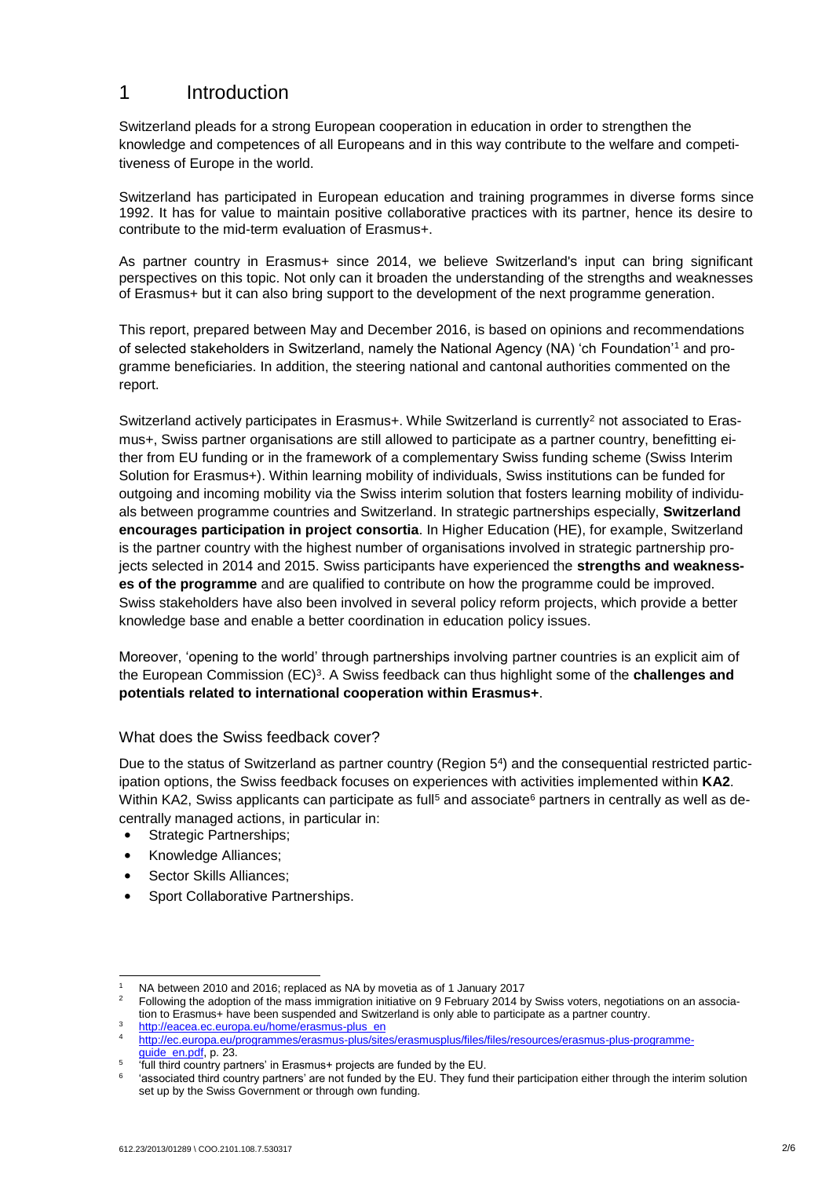# <span id="page-1-0"></span>1 Introduction

Switzerland pleads for a strong European cooperation in education in order to strengthen the knowledge and competences of all Europeans and in this way contribute to the welfare and competitiveness of Europe in the world.

Switzerland has participated in European education and training programmes in diverse forms since 1992. It has for value to maintain positive collaborative practices with its partner, hence its desire to contribute to the mid-term evaluation of Erasmus+.

As partner country in Erasmus+ since 2014, we believe Switzerland's input can bring significant perspectives on this topic. Not only can it broaden the understanding of the strengths and weaknesses of Erasmus+ but it can also bring support to the development of the next programme generation.

This report, prepared between May and December 2016, is based on opinions and recommendations of selected stakeholders in Switzerland, namely the National Agency (NA) 'ch Foundation'<sup>1</sup> and programme beneficiaries. In addition, the steering national and cantonal authorities commented on the report.

Switzerland actively participates in Erasmus+. While Switzerland is currently<sup>2</sup> not associated to Erasmus+, Swiss partner organisations are still allowed to participate as a partner country, benefitting either from EU funding or in the framework of a complementary Swiss funding scheme (Swiss Interim Solution for Erasmus+). Within learning mobility of individuals, Swiss institutions can be funded for outgoing and incoming mobility via the Swiss interim solution that fosters learning mobility of individuals between programme countries and Switzerland. In strategic partnerships especially, **Switzerland encourages participation in project consortia**. In Higher Education (HE), for example, Switzerland is the partner country with the highest number of organisations involved in strategic partnership projects selected in 2014 and 2015. Swiss participants have experienced the **strengths and weaknesses of the programme** and are qualified to contribute on how the programme could be improved. Swiss stakeholders have also been involved in several policy reform projects, which provide a better knowledge base and enable a better coordination in education policy issues.

Moreover, 'opening to the world' through partnerships involving partner countries is an explicit aim of the European Commission (EC)<sup>3</sup> . A Swiss feedback can thus highlight some of the **challenges and potentials related to international cooperation within Erasmus+**.

### <span id="page-1-1"></span>What does the Swiss feedback cover?

Due to the status of Switzerland as partner country (Region 5<sup>4</sup> ) and the consequential restricted participation options, the Swiss feedback focuses on experiences with activities implemented within **KA2**. Within KA2, Swiss applicants can participate as full<sup>5</sup> and associate<sup>6</sup> partners in centrally as well as decentrally managed actions, in particular in:

- Strategic Partnerships;
- Knowledge Alliances;
- Sector Skills Alliances:

1

• Sport Collaborative Partnerships.

<sup>&</sup>lt;sup>1</sup> NA between 2010 and 2016; replaced as NA by movetia as of 1 January 2017<br><sup>2</sup> Estlewing the adoption of the mass immigration initiative and Eshmuary 2014 h

<sup>2</sup> Following the adoption of the mass immigration initiative on 9 February 2014 by Swiss voters, negotiations on an association to Erasmus+ have been suspended and Switzerland is only able to participate as a partner country.

[http://eacea.ec.europa.eu/home/erasmus-plus\\_en](http://eacea.ec.europa.eu/home/erasmus-plus_en) <sup>4</sup> [http://ec.europa.eu/programmes/erasmus-plus/sites/erasmusplus/files/files/resources/erasmus-plus-programme](http://ec.europa.eu/programmes/erasmus-plus/sites/erasmusplus/files/files/resources/erasmus-plus-programme-guide_en.pdf)[guide\\_en.pdf,](http://ec.europa.eu/programmes/erasmus-plus/sites/erasmusplus/files/files/resources/erasmus-plus-programme-guide_en.pdf) p. 23.

<sup>5</sup> 'full third country partners' in Erasmus+ projects are funded by the EU.

<sup>6</sup> 'associated third country partners' are not funded by the EU. They fund their participation either through the interim solution set up by the Swiss Government or through own funding.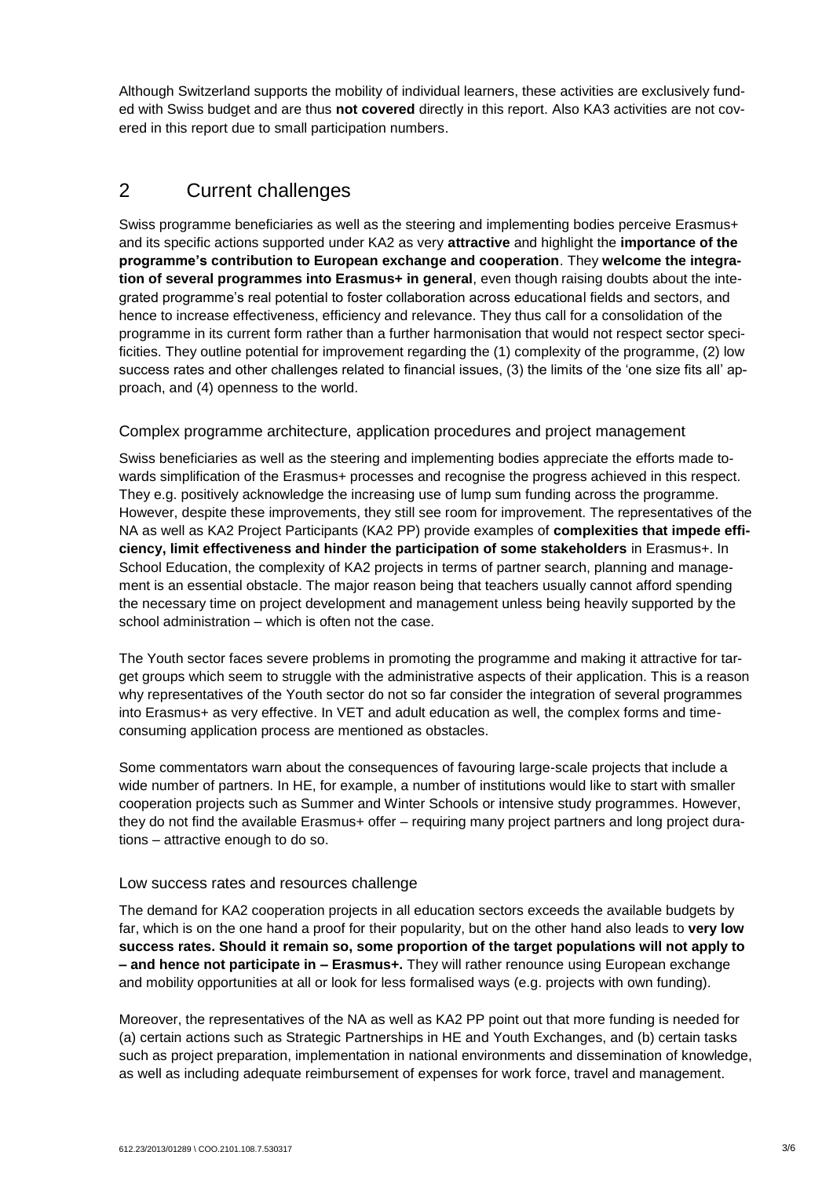Although Switzerland supports the mobility of individual learners, these activities are exclusively funded with Swiss budget and are thus **not covered** directly in this report. Also KA3 activities are not covered in this report due to small participation numbers.

# <span id="page-2-0"></span>2 Current challenges

Swiss programme beneficiaries as well as the steering and implementing bodies perceive Erasmus+ and its specific actions supported under KA2 as very **attractive** and highlight the **importance of the programme's contribution to European exchange and cooperation**. They **welcome the integration of several programmes into Erasmus+ in general**, even though raising doubts about the integrated programme's real potential to foster collaboration across educational fields and sectors, and hence to increase effectiveness, efficiency and relevance. They thus call for a consolidation of the programme in its current form rather than a further harmonisation that would not respect sector specificities. They outline potential for improvement regarding the (1) complexity of the programme, (2) low success rates and other challenges related to financial issues, (3) the limits of the 'one size fits all' approach, and (4) openness to the world.

# <span id="page-2-1"></span>Complex programme architecture, application procedures and project management

Swiss beneficiaries as well as the steering and implementing bodies appreciate the efforts made towards simplification of the Erasmus+ processes and recognise the progress achieved in this respect. They e.g. positively acknowledge the increasing use of lump sum funding across the programme. However, despite these improvements, they still see room for improvement. The representatives of the NA as well as KA2 Project Participants (KA2 PP) provide examples of **complexities that impede efficiency, limit effectiveness and hinder the participation of some stakeholders** in Erasmus+. In School Education, the complexity of KA2 projects in terms of partner search, planning and management is an essential obstacle. The major reason being that teachers usually cannot afford spending the necessary time on project development and management unless being heavily supported by the school administration – which is often not the case.

The Youth sector faces severe problems in promoting the programme and making it attractive for target groups which seem to struggle with the administrative aspects of their application. This is a reason why representatives of the Youth sector do not so far consider the integration of several programmes into Erasmus+ as very effective. In VET and adult education as well, the complex forms and timeconsuming application process are mentioned as obstacles.

Some commentators warn about the consequences of favouring large-scale projects that include a wide number of partners. In HE, for example, a number of institutions would like to start with smaller cooperation projects such as Summer and Winter Schools or intensive study programmes. However, they do not find the available Erasmus+ offer – requiring many project partners and long project durations – attractive enough to do so.

### <span id="page-2-2"></span>Low success rates and resources challenge

The demand for KA2 cooperation projects in all education sectors exceeds the available budgets by far, which is on the one hand a proof for their popularity, but on the other hand also leads to **very low success rates. Should it remain so, some proportion of the target populations will not apply to – and hence not participate in – Erasmus+.** They will rather renounce using European exchange and mobility opportunities at all or look for less formalised ways (e.g. projects with own funding).

Moreover, the representatives of the NA as well as KA2 PP point out that more funding is needed for (a) certain actions such as Strategic Partnerships in HE and Youth Exchanges, and (b) certain tasks such as project preparation, implementation in national environments and dissemination of knowledge, as well as including adequate reimbursement of expenses for work force, travel and management.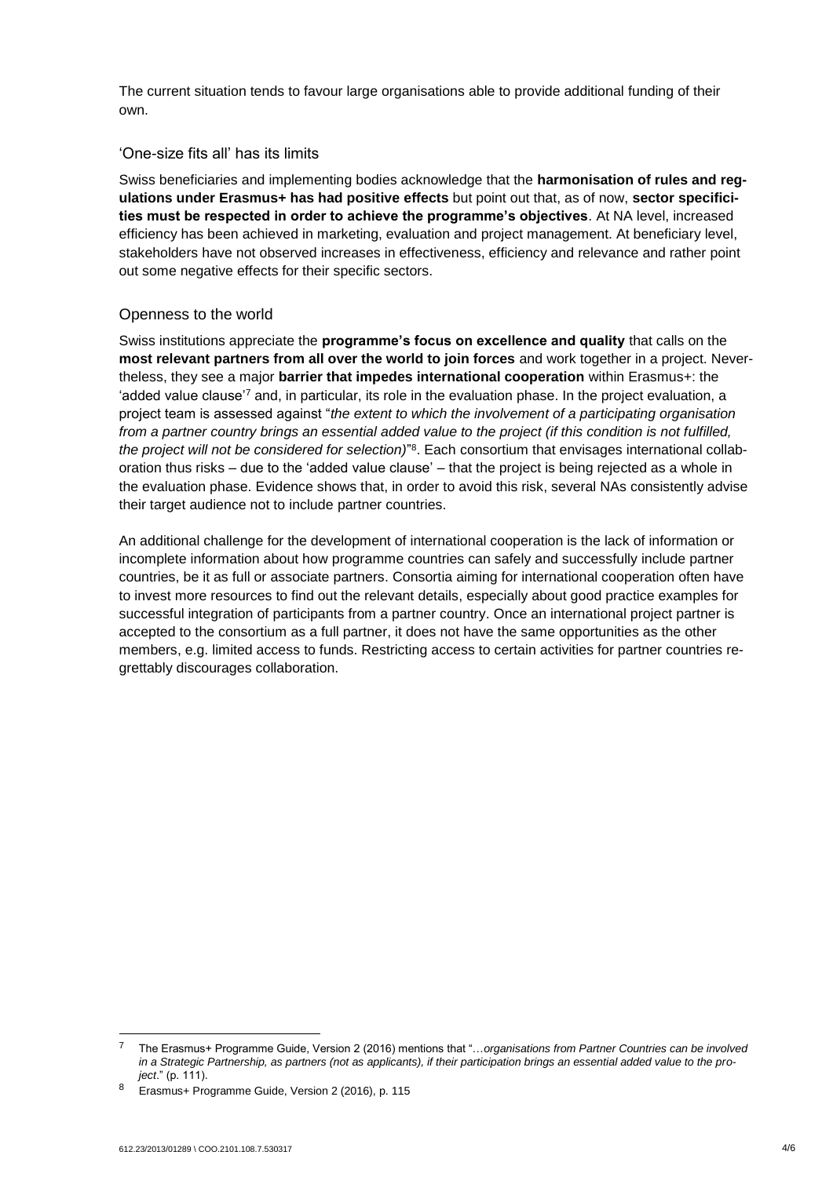The current situation tends to favour large organisations able to provide additional funding of their own.

#### <span id="page-3-0"></span>'One-size fits all' has its limits

Swiss beneficiaries and implementing bodies acknowledge that the **harmonisation of rules and regulations under Erasmus+ has had positive effects** but point out that, as of now, **sector specificities must be respected in order to achieve the programme's objectives**. At NA level, increased efficiency has been achieved in marketing, evaluation and project management. At beneficiary level, stakeholders have not observed increases in effectiveness, efficiency and relevance and rather point out some negative effects for their specific sectors.

### <span id="page-3-1"></span>Openness to the world

Swiss institutions appreciate the **programme's focus on excellence and quality** that calls on the **most relevant partners from all over the world to join forces** and work together in a project. Nevertheless, they see a major **barrier that impedes international cooperation** within Erasmus+: the 'added value clause'<sup>7</sup> and, in particular, its role in the evaluation phase. In the project evaluation, a project team is assessed against "*the extent to which the involvement of a participating organisation from a partner country brings an essential added value to the project (if this condition is not fulfilled, the project will not be considered for selection)*" 8 . Each consortium that envisages international collaboration thus risks – due to the 'added value clause' – that the project is being rejected as a whole in the evaluation phase. Evidence shows that, in order to avoid this risk, several NAs consistently advise their target audience not to include partner countries.

An additional challenge for the development of international cooperation is the lack of information or incomplete information about how programme countries can safely and successfully include partner countries, be it as full or associate partners. Consortia aiming for international cooperation often have to invest more resources to find out the relevant details, especially about good practice examples for successful integration of participants from a partner country. Once an international project partner is accepted to the consortium as a full partner, it does not have the same opportunities as the other members, e.g. limited access to funds. Restricting access to certain activities for partner countries regrettably discourages collaboration.

-

<sup>7</sup> The Erasmus+ Programme Guide, Version 2 (2016) mentions that "…*organisations from Partner Countries can be involved in a Strategic Partnership, as partners (not as applicants), if their participation brings an essential added value to the project*." (p. 111).

Erasmus+ Programme Guide, Version 2 (2016), p. 115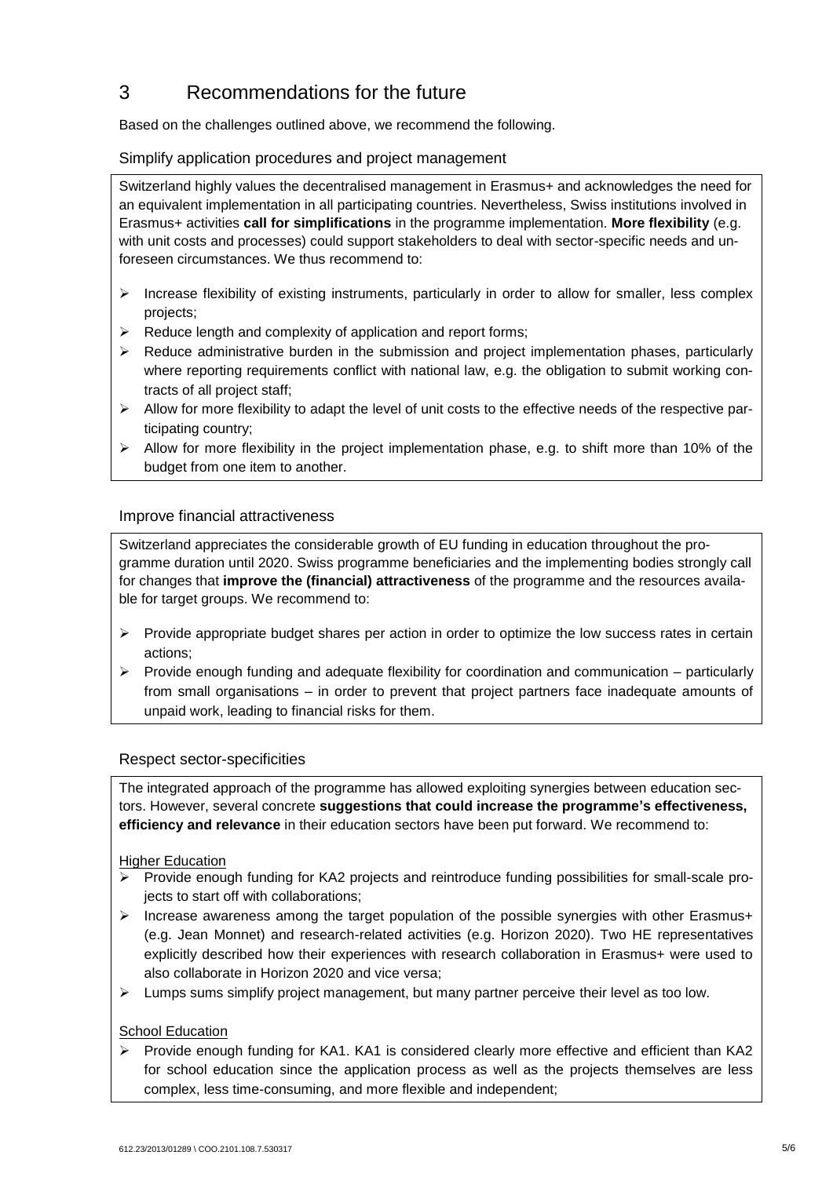# <span id="page-4-0"></span>3 Recommendations for the future

Based on the challenges outlined above, we recommend the following.

# <span id="page-4-1"></span>Simplify application procedures and project management

Switzerland highly values the decentralised management in Erasmus+ and acknowledges the need for an equivalent implementation in all participating countries. Nevertheless, Swiss institutions involved in Erasmus+ activities **call for simplifications** in the programme implementation. **More flexibility** (e.g. with unit costs and processes) could support stakeholders to deal with sector-specific needs and unforeseen circumstances. We thus recommend to:

- $\triangleright$  Increase flexibility of existing instruments, particularly in order to allow for smaller, less complex projects;
- $\triangleright$  Reduce length and complexity of application and report forms;
- $\triangleright$  Reduce administrative burden in the submission and project implementation phases, particularly where reporting requirements conflict with national law, e.g. the obligation to submit working contracts of all project staff;
- $\triangleright$  Allow for more flexibility to adapt the level of unit costs to the effective needs of the respective participating country;
- $\triangleright$  Allow for more flexibility in the project implementation phase, e.g. to shift more than 10% of the budget from one item to another.

# <span id="page-4-2"></span>Improve financial attractiveness

Switzerland appreciates the considerable growth of EU funding in education throughout the programme duration until 2020. Swiss programme beneficiaries and the implementing bodies strongly call for changes that **improve the (financial) attractiveness** of the programme and the resources available for target groups. We recommend to:

- $\triangleright$  Provide appropriate budget shares per action in order to optimize the low success rates in certain actions;
- $\triangleright$  Provide enough funding and adequate flexibility for coordination and communication particularly from small organisations – in order to prevent that project partners face inadequate amounts of unpaid work, leading to financial risks for them.

### <span id="page-4-3"></span>Respect sector-specificities

The integrated approach of the programme has allowed exploiting synergies between education sectors. However, several concrete **suggestions that could increase the programme's effectiveness, efficiency and relevance** in their education sectors have been put forward. We recommend to:

### Higher Education

- Provide enough funding for KA2 projects and reintroduce funding possibilities for small-scale projects to start off with collaborations;
- Increase awareness among the target population of the possible synergies with other Erasmus+ (e.g. Jean Monnet) and research-related activities (e.g. Horizon 2020). Two HE representatives explicitly described how their experiences with research collaboration in Erasmus+ were used to also collaborate in Horizon 2020 and vice versa;
- $\triangleright$  Lumps sums simplify project management, but many partner perceive their level as too low.

### School Education

 $\triangleright$  Provide enough funding for KA1. KA1 is considered clearly more effective and efficient than KA2 for school education since the application process as well as the projects themselves are less complex, less time-consuming, and more flexible and independent;